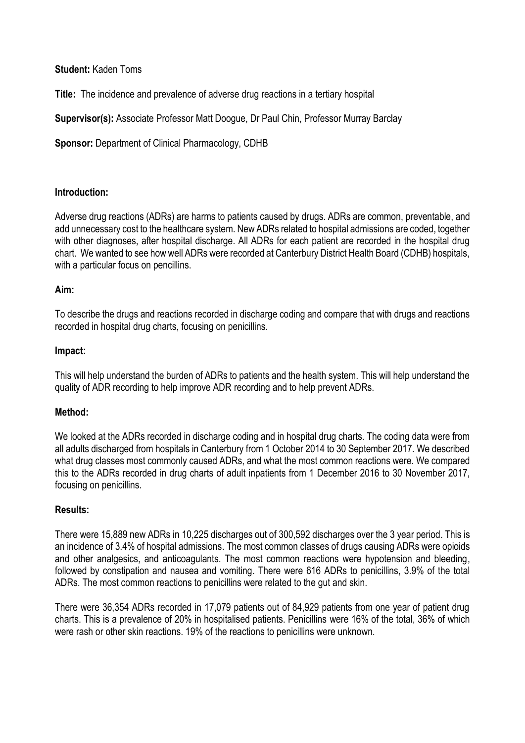# **Student:** Kaden Toms

**Title:** The incidence and prevalence of adverse drug reactions in a tertiary hospital

**Supervisor(s):** Associate Professor Matt Doogue, Dr Paul Chin, Professor Murray Barclay

**Sponsor:** Department of Clinical Pharmacology, CDHB

## **Introduction:**

Adverse drug reactions (ADRs) are harms to patients caused by drugs. ADRs are common, preventable, and add unnecessary cost to the healthcare system. New ADRs related to hospital admissions are coded, together with other diagnoses, after hospital discharge. All ADRs for each patient are recorded in the hospital drug chart. We wanted to see how well ADRs were recorded at Canterbury District Health Board (CDHB) hospitals, with a particular focus on pencillins.

## **Aim:**

To describe the drugs and reactions recorded in discharge coding and compare that with drugs and reactions recorded in hospital drug charts, focusing on penicillins.

#### **Impact:**

This will help understand the burden of ADRs to patients and the health system. This will help understand the quality of ADR recording to help improve ADR recording and to help prevent ADRs.

# **Method:**

We looked at the ADRs recorded in discharge coding and in hospital drug charts. The coding data were from all adults discharged from hospitals in Canterbury from 1 October 2014 to 30 September 2017. We described what drug classes most commonly caused ADRs, and what the most common reactions were. We compared this to the ADRs recorded in drug charts of adult inpatients from 1 December 2016 to 30 November 2017, focusing on penicillins.

#### **Results:**

There were 15,889 new ADRs in 10,225 discharges out of 300,592 discharges over the 3 year period. This is an incidence of 3.4% of hospital admissions. The most common classes of drugs causing ADRs were opioids and other analgesics, and anticoagulants. The most common reactions were hypotension and bleeding, followed by constipation and nausea and vomiting. There were 616 ADRs to penicillins, 3.9% of the total ADRs. The most common reactions to penicillins were related to the gut and skin.

There were 36,354 ADRs recorded in 17,079 patients out of 84,929 patients from one year of patient drug charts. This is a prevalence of 20% in hospitalised patients. Penicillins were 16% of the total, 36% of which were rash or other skin reactions. 19% of the reactions to penicillins were unknown.